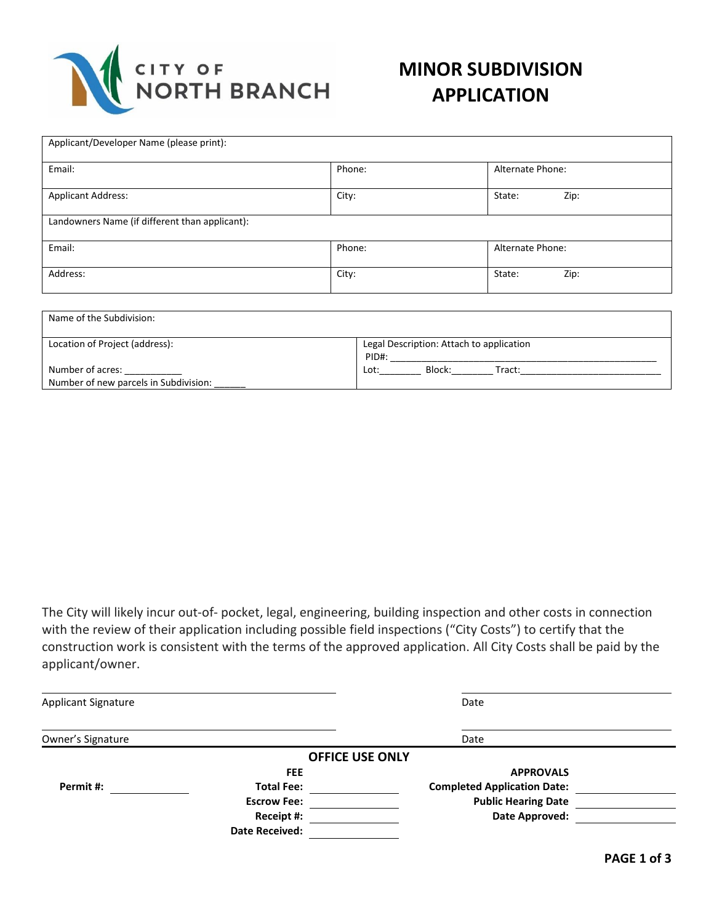

| Phone: | Alternate Phone: |
|--------|------------------|
| City:  | Zip:<br>State:   |
|        |                  |
| Phone: | Alternate Phone: |
| City:  | Zip:<br>State:   |
|        |                  |

| Name of the Subdivision:                                  |                                                   |  |
|-----------------------------------------------------------|---------------------------------------------------|--|
| Location of Project (address):                            | Legal Description: Attach to application<br>PID#: |  |
| Number of acres:<br>Number of new parcels in Subdivision: | Block:<br>Lot:<br>Tract:                          |  |

The City will likely incur out-of- pocket, legal, engineering, building inspection and other costs in connection with the review of their application including possible field inspections ("City Costs") to certify that the construction work is consistent with the terms of the approved application. All City Costs shall be paid by the applicant/owner.

| <b>Applicant Signature</b> |                        | Date                               |  |
|----------------------------|------------------------|------------------------------------|--|
| Owner's Signature          |                        | Date                               |  |
|                            | <b>OFFICE USE ONLY</b> |                                    |  |
|                            | <b>FEE</b>             | <b>APPROVALS</b>                   |  |
| Permit #:                  | <b>Total Fee:</b>      | <b>Completed Application Date:</b> |  |
|                            | <b>Escrow Fee:</b>     | <b>Public Hearing Date</b>         |  |
|                            | Receipt #:             | Date Approved:                     |  |
|                            | <b>Date Received:</b>  |                                    |  |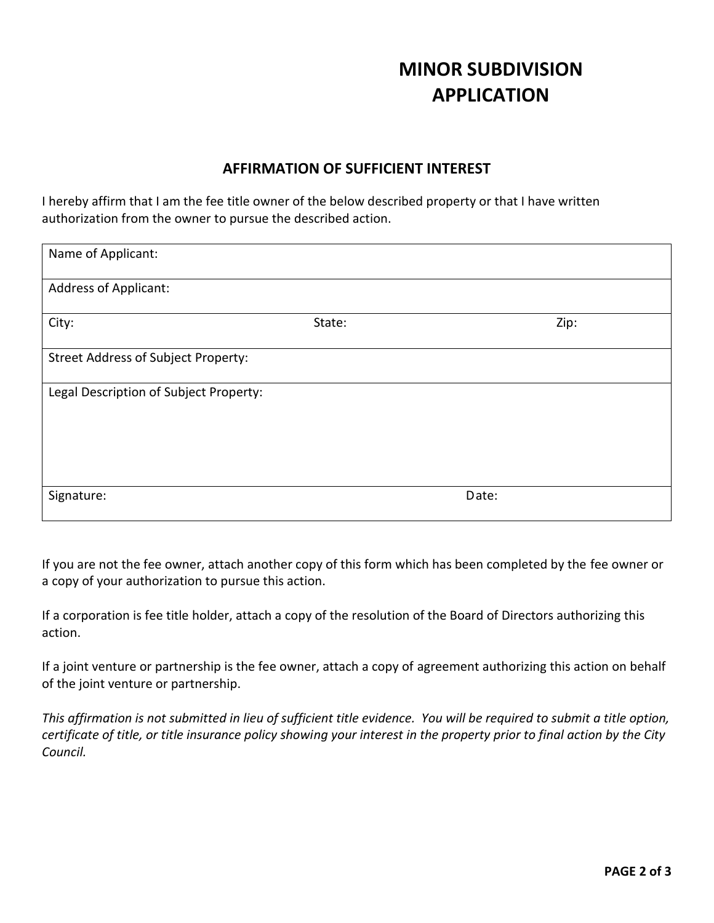## **MINOR SUBDIVISION APPLICATION**

## **AFFIRMATION OF SUFFICIENT INTEREST**

I hereby affirm that I am the fee title owner of the below described property or that I have written authorization from the owner to pursue the described action.

| Name of Applicant:                         |        |       |
|--------------------------------------------|--------|-------|
| <b>Address of Applicant:</b>               |        |       |
| City:                                      | State: | Zip:  |
| <b>Street Address of Subject Property:</b> |        |       |
| Legal Description of Subject Property:     |        |       |
|                                            |        |       |
|                                            |        |       |
| Signature:                                 |        | Date: |

If you are not the fee owner, attach another copy of this form which has been completed by the fee owner or a copy of your authorization to pursue this action.

If a corporation is fee title holder, attach a copy of the resolution of the Board of Directors authorizing this action.

If a joint venture or partnership is the fee owner, attach a copy of agreement authorizing this action on behalf of the joint venture or partnership.

*This affirmation is not submitted in lieu of sufficient title evidence. You will be required to submit a title option, certificate of title, or title insurance policy showing your interest in the property prior to final action by the City Council.*